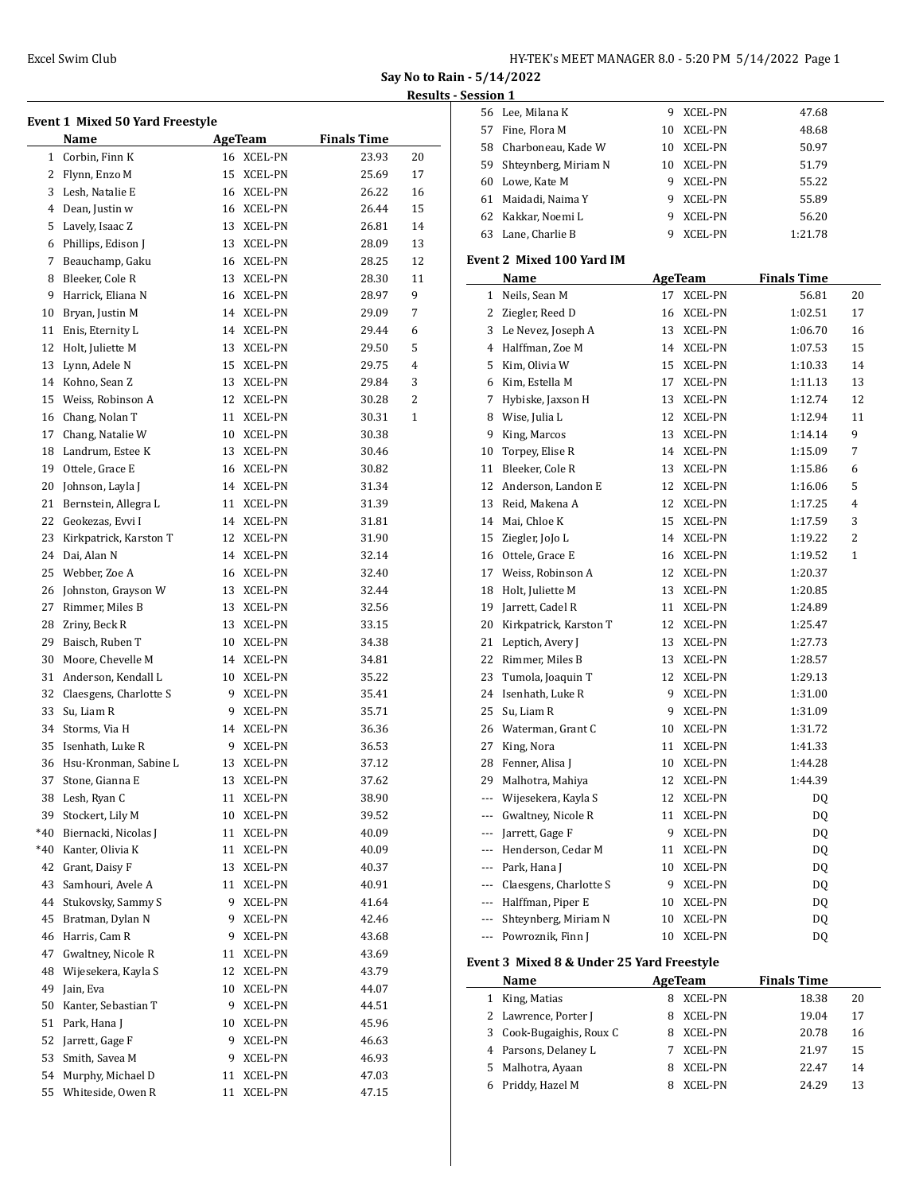| HY-TEK's MEET MANAGER 8.0 - 5:20 PM 5/14/2022 Page 1 |  |  |
|------------------------------------------------------|--|--|
|------------------------------------------------------|--|--|

**Say No to Rain - 5/14/2022**

# **Results - Session 1**

| <b>Event 1 Mixed 50 Yard Freestyle</b> |                           |    |                |                    |    |  |
|----------------------------------------|---------------------------|----|----------------|--------------------|----|--|
|                                        | Name                      |    | <b>AgeTeam</b> | <b>Finals Time</b> |    |  |
| $\mathbf{1}$                           | Corbin, Finn K            |    | 16 XCEL-PN     | 23.93              | 20 |  |
|                                        | 2 Flynn, Enzo M           |    | 15 XCEL-PN     | 25.69              | 17 |  |
|                                        | 3 Lesh, Natalie E         |    | 16 XCEL-PN     | 26.22              | 16 |  |
|                                        | 4 Dean, Justin w          |    | 16 XCEL-PN     | 26.44              | 15 |  |
|                                        | 5 Lavely, Isaac Z         |    | 13 XCEL-PN     | 26.81              | 14 |  |
|                                        | 6 Phillips, Edison J      |    | 13 XCEL-PN     | 28.09              | 13 |  |
| 7                                      | Beauchamp, Gaku           |    | 16 XCEL-PN     | 28.25              | 12 |  |
| 8                                      | Bleeker, Cole R           |    | 13 XCEL-PN     | 28.30              | 11 |  |
| 9                                      | Harrick, Eliana N         |    | 16 XCEL-PN     | 28.97              | 9  |  |
| 10                                     | Bryan, Justin M           |    | 14 XCEL-PN     | 29.09              | 7  |  |
| 11                                     | Enis, Eternity L          |    | 14 XCEL-PN     | 29.44              | 6  |  |
| 12                                     | Holt, Juliette M          |    | 13 XCEL-PN     | 29.50              | 5  |  |
| 13                                     | Lynn, Adele N             |    | 15 XCEL-PN     | 29.75              | 4  |  |
| 14                                     | Kohno, Sean Z             |    | 13 XCEL-PN     | 29.84              | 3  |  |
| 15                                     | Weiss. Robinson A         |    | 12 XCEL-PN     | 30.28              | 2  |  |
| 16                                     | Chang, Nolan T            |    | 11 XCEL-PN     | 30.31              | 1  |  |
| 17                                     | Chang, Natalie W          |    | 10 XCEL-PN     | 30.38              |    |  |
| 18                                     | Landrum, Estee K          |    | 13 XCEL-PN     | 30.46              |    |  |
| 19                                     | Ottele, Grace E           |    | 16 XCEL-PN     | 30.82              |    |  |
| 20                                     | Johnson, Layla J          |    | 14 XCEL-PN     | 31.34              |    |  |
| 21                                     | Bernstein, Allegra L      |    | 11 XCEL-PN     | 31.39              |    |  |
| 22                                     | Geokezas, Evvi I          |    | 14 XCEL-PN     | 31.81              |    |  |
| 23                                     | Kirkpatrick, Karston T    |    | 12 XCEL-PN     | 31.90              |    |  |
| 24                                     | Dai, Alan N               |    | 14 XCEL-PN     | 32.14              |    |  |
| 25                                     | Webber, Zoe A             |    | 16 XCEL-PN     | 32.40              |    |  |
| 26                                     | Johnston, Grayson W       |    | 13 XCEL-PN     | 32.44              |    |  |
| 27                                     | Rimmer, Miles B           |    | 13 XCEL-PN     | 32.56              |    |  |
|                                        | 28 Zriny, Beck R          |    | 13 XCEL-PN     | 33.15              |    |  |
| 29                                     | Baisch, Ruben T           |    | 10 XCEL-PN     | 34.38              |    |  |
| 30                                     | Moore, Chevelle M         |    | 14 XCEL-PN     | 34.81              |    |  |
| 31                                     | Anderson, Kendall L       |    | 10 XCEL-PN     | 35.22              |    |  |
|                                        | 32 Claesgens, Charlotte S |    | 9 XCEL-PN      | 35.41              |    |  |
| 33                                     | Su, Liam R                |    | 9 XCEL-PN      | 35.71              |    |  |
| 34                                     | Storms, Via H             |    | 14 XCEL-PN     | 36.36              |    |  |
| 35                                     | Isenhath, Luke R          | 9  | <b>XCEL-PN</b> | 36.53              |    |  |
|                                        | Hsu-Kronman, Sabine L     |    |                |                    |    |  |
| 36                                     |                           | 13 | XCEL-PN        | 37.12<br>37.62     |    |  |
| 37                                     | Stone, Gianna E           | 13 | XCEL-PN        |                    |    |  |
| 38                                     | Lesh, Ryan C              | 11 | XCEL-PN        | 38.90              |    |  |
| 39                                     | Stockert, Lily M          | 10 | XCEL-PN        | 39.52              |    |  |
| $*40$                                  | Biernacki, Nicolas J      | 11 | XCEL-PN        | 40.09              |    |  |
| $*40$                                  | Kanter, Olivia K          | 11 | XCEL-PN        | 40.09              |    |  |
| 42                                     | Grant, Daisy F            | 13 | XCEL-PN        | 40.37              |    |  |
| 43                                     | Samhouri, Avele A         | 11 | XCEL-PN        | 40.91              |    |  |
| 44                                     | Stukovsky, Sammy S        | 9  | XCEL-PN        | 41.64              |    |  |
| 45                                     | Bratman, Dylan N          | 9  | XCEL-PN        | 42.46              |    |  |
| 46                                     | Harris, Cam R             | 9  | XCEL-PN        | 43.68              |    |  |
| 47                                     | Gwaltney, Nicole R        | 11 | XCEL-PN        | 43.69              |    |  |
| 48                                     | Wijesekera, Kayla S       | 12 | XCEL-PN        | 43.79              |    |  |
| 49                                     | Jain, Eva                 | 10 | XCEL-PN        | 44.07              |    |  |
| 50                                     | Kanter, Sebastian T       | 9  | XCEL-PN        | 44.51              |    |  |
| 51                                     | Park, Hana J              | 10 | XCEL-PN        | 45.96              |    |  |
| 52                                     | Jarrett, Gage F           | 9  | XCEL-PN        | 46.63              |    |  |
| 53                                     | Smith, Savea M            | 9  | XCEL-PN        | 46.93              |    |  |
| 54                                     | Murphy, Michael D         | 11 | XCEL-PN        | 47.03              |    |  |
| 55                                     | Whiteside, Owen R         | 11 | XCEL-PN        | 47.15              |    |  |
|                                        |                           |    |                |                    |    |  |

|     | 56 Lee, Milana K      | 9 | XCEL-PN        | 47.68   |
|-----|-----------------------|---|----------------|---------|
| 57  | Fine, Flora M         |   | 10 XCEL-PN     | 48.68   |
|     | 58 Charboneau, Kade W |   | 10 XCEL-PN     | 50.97   |
| 59. | Shteynberg, Miriam N  |   | 10 XCEL-PN     | 51.79   |
|     | 60 Lowe, Kate M       | 9 | XCEL-PN        | 55.22   |
| 61  | Maidadi, Naima Y      | 9 | XCEL-PN        | 55.89   |
|     | 62 Kakkar, Noemi L    | 9 | <b>XCEL-PN</b> | 56.20   |
| 63  | Lane, Charlie B       |   | XCEL-PN        | 1:21.78 |

# **Event 2 Mixed 100 Yard IM**

|    | Name                                      |    | <b>AgeTeam</b> | <b>Finals Time</b> |                |  |  |
|----|-------------------------------------------|----|----------------|--------------------|----------------|--|--|
|    | 1 Neils, Sean M                           | 17 | XCEL-PN        | 56.81              | 20             |  |  |
|    | 2 Ziegler, Reed D                         | 16 | XCEL-PN        | 1:02.51            | 17             |  |  |
| 3  | Le Nevez, Joseph A                        | 13 | XCEL-PN        | 1:06.70            | 16             |  |  |
|    | 4 Halffman, Zoe M                         | 14 | XCEL-PN        | 1:07.53            | 15             |  |  |
|    | 5 Kim, Olivia W                           | 15 | XCEL-PN        | 1:10.33            | 14             |  |  |
|    | 6 Kim, Estella M                          | 17 | XCEL-PN        | 1:11.13            | 13             |  |  |
| 7  | Hybiske, Jaxson H                         | 13 | XCEL-PN        | 1:12.74            | 12             |  |  |
| 8  | Wise, Julia L                             | 12 | XCEL-PN        | 1:12.94            | 11             |  |  |
| 9  | King, Marcos                              | 13 | XCEL-PN        | 1:14.14            | 9              |  |  |
| 10 | Torpey, Elise R                           | 14 | XCEL-PN        | 1:15.09            | 7              |  |  |
| 11 | Bleeker, Cole R                           | 13 | XCEL-PN        | 1:15.86            | 6              |  |  |
| 12 | Anderson, Landon E                        | 12 | XCEL-PN        | 1:16.06            | 5              |  |  |
| 13 | Reid, Makena A                            | 12 | XCEL-PN        | 1:17.25            | $\overline{4}$ |  |  |
|    | 14 Mai, Chloe K                           | 15 | XCEL-PN        | 1:17.59            | 3              |  |  |
|    | 15 Ziegler, JoJo L                        | 14 | XCEL-PN        | 1:19.22            | $\overline{2}$ |  |  |
|    | 16 Ottele, Grace E                        | 16 | XCEL-PN        | 1:19.52            | $\mathbf{1}$   |  |  |
|    | 17 Weiss, Robinson A                      | 12 | XCEL-PN        | 1:20.37            |                |  |  |
|    | 18 Holt, Juliette M                       | 13 | XCEL-PN        | 1:20.85            |                |  |  |
|    | 19 Jarrett, Cadel R                       | 11 | XCEL-PN        | 1:24.89            |                |  |  |
|    | 20 Kirkpatrick, Karston T                 | 12 | XCEL-PN        | 1:25.47            |                |  |  |
| 21 | Leptich, Avery J                          | 13 | XCEL-PN        | 1:27.73            |                |  |  |
| 22 | Rimmer, Miles B                           | 13 | XCEL-PN        | 1:28.57            |                |  |  |
| 23 | Tumola, Joaquin T                         | 12 | XCEL-PN        | 1:29.13            |                |  |  |
| 24 | Isenhath, Luke R                          | 9  | XCEL-PN        | 1:31.00            |                |  |  |
| 25 | Su, Liam R                                | 9  | XCEL-PN        | 1:31.09            |                |  |  |
|    | 26 Waterman, Grant C                      | 10 | XCEL-PN        | 1:31.72            |                |  |  |
| 27 | King, Nora                                | 11 | XCEL-PN        | 1:41.33            |                |  |  |
| 28 | Fenner, Alisa J                           | 10 | XCEL-PN        | 1:44.28            |                |  |  |
| 29 | Malhotra, Mahiya                          | 12 | XCEL-PN        | 1:44.39            |                |  |  |
|    | --- Wijesekera, Kayla S                   | 12 | XCEL-PN        | DQ                 |                |  |  |
|    | --- Gwaltney, Nicole R                    | 11 | <b>XCEL-PN</b> | DQ                 |                |  |  |
|    | --- Jarrett, Gage F                       | 9  | XCEL-PN        | DQ                 |                |  |  |
|    | --- Henderson, Cedar M                    | 11 | XCEL-PN        | DQ                 |                |  |  |
|    | --- Park, Hana J                          | 10 | XCEL-PN        | DQ                 |                |  |  |
|    | --- Claesgens, Charlotte S                | 9  | XCEL-PN        | DQ                 |                |  |  |
|    | --- Halffman, Piper E                     | 10 | XCEL-PN        | DQ                 |                |  |  |
|    | --- Shteynberg, Miriam N                  | 10 | <b>XCEL-PN</b> | DQ                 |                |  |  |
|    | --- Powroznik, Finn J                     | 10 | <b>XCEL-PN</b> | DQ                 |                |  |  |
|    | Event 3 Mixed 8 & Under 25 Yard Freestyle |    |                |                    |                |  |  |

|   | Name<br>AgeTeam          |              | <b>Finals Time</b> |             |  |
|---|--------------------------|--------------|--------------------|-------------|--|
| 1 | King, Matias             | XCEL-PN<br>8 |                    | 18.38<br>20 |  |
|   | 2 Lawrence, Porter J     | XCEL-PN<br>8 |                    | 19.04<br>17 |  |
|   | 3 Cook-Bugaighis, Roux C | XCEL-PN<br>8 |                    | 20.78<br>16 |  |
|   | 4 Parsons, Delaney L     | XCEL-PN      |                    | 21.97<br>15 |  |
|   | 5 Malhotra, Ayaan        | XCEL-PN<br>я |                    | 22.47<br>14 |  |
|   | Priddy, Hazel M          | XCEL-PN      |                    | 24.29<br>13 |  |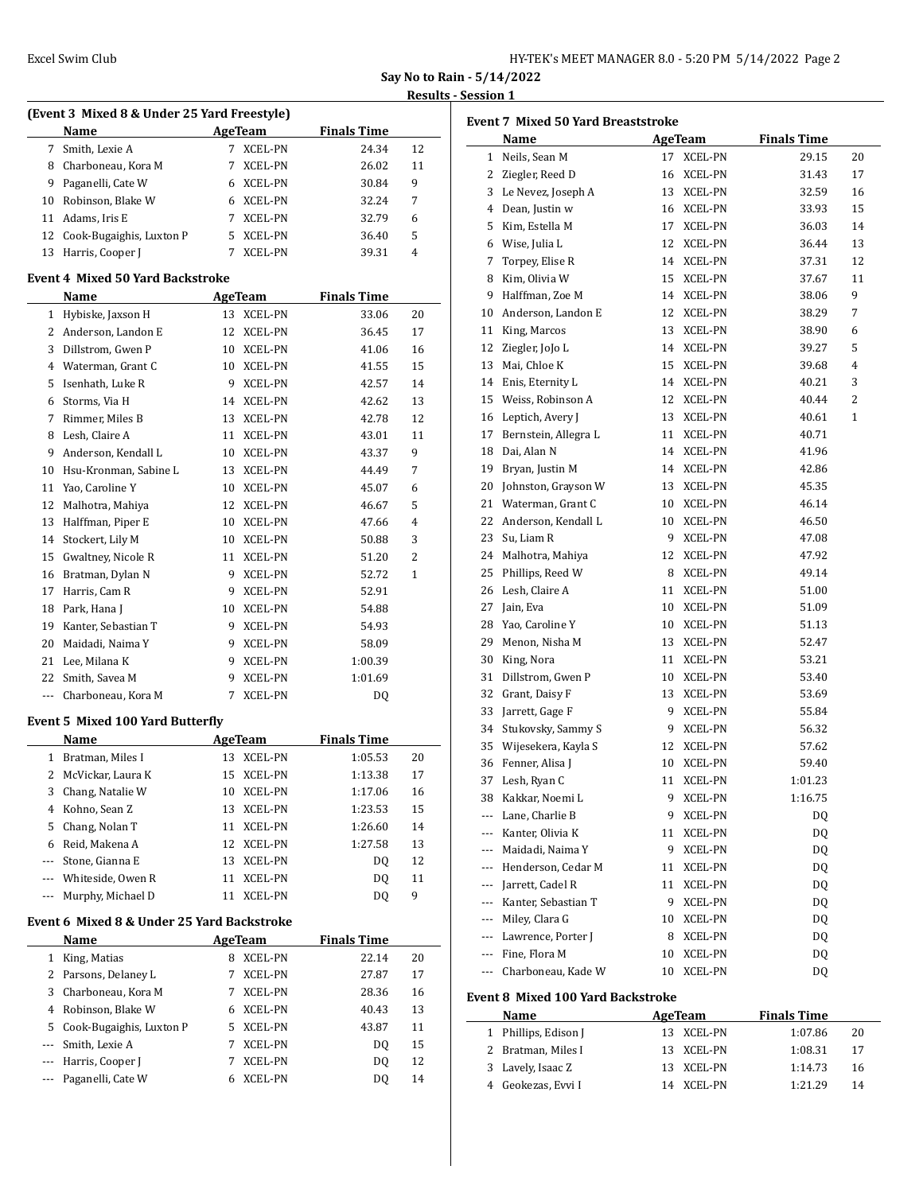| HY-TEK's MEET MANAGER 8.0 - 5:20 PM 5/14/2022 Page 2 |  |  |  |  |
|------------------------------------------------------|--|--|--|--|
|------------------------------------------------------|--|--|--|--|

**Say No to Rain - 5/14/2022**

# **Results 1**

|       | (Event 3 Mixed 8 & Under 25 Yard Freestyle) |    |                |                    |              |
|-------|---------------------------------------------|----|----------------|--------------------|--------------|
|       | Name                                        |    | AgeTeam        | <b>Finals Time</b> |              |
|       | 7 Smith, Lexie A                            | 7  | XCEL-PN        | 24.34              | 12           |
|       | 8 Charboneau, Kora M                        | 7  | XCEL-PN        | 26.02              | 11           |
|       | 9 Paganelli, Cate W                         |    | 6 XCEL-PN      | 30.84              | 9            |
|       | 10 Robinson, Blake W                        |    | 6 XCEL-PN      | 32.24              | 7            |
|       | 11 Adams, Iris E                            |    | 7 XCEL-PN      | 32.79              | 6            |
|       | 12 Cook-Bugaighis, Luxton P                 |    | 5 XCEL-PN      | 36.40              | 5            |
|       | 13 Harris, Cooper J                         | 7  | <b>XCEL-PN</b> | 39.31              | 4            |
|       | <b>Event 4 Mixed 50 Yard Backstroke</b>     |    |                |                    |              |
|       | Name                                        |    | <b>AgeTeam</b> | <b>Finals Time</b> |              |
|       | 1 Hybiske, Jaxson H                         |    | 13 XCEL-PN     | 33.06              | 20           |
|       | 2 Anderson, Landon E                        |    | 12 XCEL-PN     | 36.45              | 17           |
|       | 3 Dillstrom, Gwen P                         |    | 10 XCEL-PN     | 41.06              | 16           |
|       | 4 Waterman, Grant C                         |    | 10 XCEL-PN     | 41.55              | 15           |
|       | 5 Isenhath, Luke R                          |    | 9 XCEL-PN      | 42.57              | 14           |
|       | 6 Storms, Via H                             |    | 14 XCEL-PN     | 42.62              | 13           |
| 7     | Rimmer, Miles B                             |    | 13 XCEL-PN     | 42.78              | 12           |
|       |                                             |    | 11 XCEL-PN     | 43.01              | 11           |
| 9     | 8 Lesh, Claire A<br>Anderson, Kendall L     |    | 10 XCEL-PN     | 43.37              | 9            |
|       |                                             |    |                |                    |              |
|       | 10 Hsu-Kronman, Sabine L                    |    | 13 XCEL-PN     | 44.49              | 7            |
|       | 11 Yao, Caroline Y                          |    | 10 XCEL-PN     | 45.07              | 6            |
|       | 12 Malhotra, Mahiya                         |    | 12 XCEL-PN     | 46.67              | 5            |
| 13    | Halffman, Piper E                           | 10 | XCEL-PN        | 47.66              | 4            |
|       | 14 Stockert, Lily M                         |    | 10 XCEL-PN     | 50.88              | 3            |
|       | 15 Gwaltney, Nicole R                       |    | 11 XCEL-PN     | 51.20              | 2            |
|       | 16 Bratman, Dylan N                         |    | 9 XCEL-PN      | 52.72              | $\mathbf{1}$ |
|       | 17 Harris, Cam R                            |    | 9 XCEL-PN      | 52.91              |              |
|       | 18 Park, Hana J                             |    | 10 XCEL-PN     | 54.88              |              |
| 19    | Kanter, Sebastian T                         |    | 9 XCEL-PN      | 54.93              |              |
| 20    | Maidadi, Naima Y                            |    | 9 XCEL-PN      | 58.09              |              |
|       | 21 Lee, Milana K                            |    | 9 XCEL-PN      | 1:00.39            |              |
| 22    | Smith, Savea M                              | 9  | XCEL-PN        | 1:01.69            |              |
|       | --- Charboneau, Kora M                      | 7  | <b>XCEL-PN</b> | DQ                 |              |
|       | <b>Event 5 Mixed 100 Yard Butterfly</b>     |    |                |                    |              |
|       | <b>Name</b>                                 |    | <b>AgeTeam</b> | <b>Finals Time</b> |              |
| 1     | Bratman, Miles I                            | 13 | <b>XCEL-PN</b> | 1:05.53            | 20           |
| 2     | McVickar, Laura K                           | 15 | <b>XCEL-PN</b> | 1:13.38            | 17           |
| 3     | Chang, Natalie W                            | 10 | <b>XCEL-PN</b> | 1:17.06            | 16           |
| 4     | Kohno, Sean Z                               | 13 | <b>XCEL-PN</b> | 1:23.53            | 15           |
| 5     | Chang, Nolan T                              | 11 | XCEL-PN        | 1:26.60            | 14           |
|       | 6 Reid, Makena A                            | 12 | XCEL-PN        | 1:27.58            | 13           |
| ---   | Stone, Gianna E                             | 13 | XCEL-PN        | DQ                 | 12           |
| --- 1 | Whiteside, Owen R                           | 11 | <b>XCEL-PN</b> | DQ                 | 11           |
| ---   | Murphy, Michael D                           | 11 | XCEL-PN        | DQ                 | 9            |
|       | Event 6 Mixed 8 & Under 25 Yard Backstroke  |    |                |                    |              |
|       | Name                                        |    | <b>AgeTeam</b> | <b>Finals Time</b> |              |
| $1\,$ | King, Matias                                | 8  | XCEL-PN        | 22.14              | 20           |
|       | 2 Parsons, Delaney L                        | 7  | XCEL-PN        | 27.87              | 17           |
| 3     | Charboneau, Kora M                          | 7  | XCEL-PN        | 28.36              | 16           |
|       | 4 Robinson, Blake W                         | 6  | XCEL-PN        | 40.43              | 13           |
|       | 5 Cook-Bugaighis, Luxton P                  | 5  | XCEL-PN        | 43.87              | 11           |
| ---   | Smith, Lexie A                              | 7  | <b>XCEL-PN</b> | DQ                 | 15           |
|       | Harris, Cooper J                            | 7  | XCEL-PN        | DQ                 | 12           |
|       | Paganelli, Cate W                           | 6  | XCEL-PN        | DQ                 | 14           |
|       |                                             |    |                |                    |              |

|                          | Name                                     |    | AgeTeam        | <b>Finals Time</b> |    |
|--------------------------|------------------------------------------|----|----------------|--------------------|----|
| $\mathbf{1}$             | Neils, Sean M                            | 17 | XCEL-PN        | 29.15              | 20 |
| 2                        | Ziegler, Reed D                          | 16 | XCEL-PN        | 31.43              | 17 |
| 3                        | Le Nevez, Joseph A                       | 13 | XCEL-PN        | 32.59              | 16 |
|                          | 4 Dean, Justin w                         | 16 | XCEL-PN        | 33.93              | 15 |
|                          | 5 Kim, Estella M                         | 17 | XCEL-PN        | 36.03              | 14 |
|                          | 6 Wise, Julia L                          | 12 | XCEL-PN        | 36.44              | 13 |
| 7                        | Torpey, Elise R                          | 14 | XCEL-PN        | 37.31              | 12 |
| 8                        | Kim, Olivia W                            | 15 | XCEL-PN        | 37.67              | 11 |
| 9                        | Halffman, Zoe M                          | 14 | XCEL-PN        | 38.06              | 9  |
| 10                       | Anderson, Landon E                       | 12 | XCEL-PN        | 38.29              | 7  |
| 11                       | King, Marcos                             | 13 | XCEL-PN        | 38.90              | 6  |
| 12                       | Ziegler, JoJo L                          | 14 | XCEL-PN        | 39.27              | 5  |
| 13                       | Mai, Chloe K                             | 15 | XCEL-PN        | 39.68              | 4  |
| 14                       | Enis, Eternity L                         | 14 | XCEL-PN        | 40.21              | 3  |
|                          | 15 Weiss, Robinson A                     | 12 | XCEL-PN        | 40.44              | 2  |
| 16                       | Leptich, Avery J                         | 13 | XCEL-PN        | 40.61              | 1  |
| 17                       | Bernstein, Allegra L                     | 11 | XCEL-PN        | 40.71              |    |
| 18                       | Dai, Alan N                              | 14 | XCEL-PN        | 41.96              |    |
| 19                       | Bryan, Justin M                          | 14 | XCEL-PN        | 42.86              |    |
| 20                       | Johnston, Grayson W                      | 13 | XCEL-PN        | 45.35              |    |
| 21                       | Waterman, Grant C                        | 10 | XCEL-PN        | 46.14              |    |
| 22                       | Anderson, Kendall L                      | 10 | XCEL-PN        | 46.50              |    |
| 23                       | Su, Liam R                               | 9  | XCEL-PN        | 47.08              |    |
| 24                       | Malhotra, Mahiya                         | 12 | XCEL-PN        | 47.92              |    |
| 25                       | Phillips, Reed W                         | 8  | XCEL-PN        | 49.14              |    |
| 26                       | Lesh, Claire A                           | 11 | XCEL-PN        | 51.00              |    |
| 27                       | Jain, Eva                                | 10 | XCEL-PN        | 51.09              |    |
| 28                       | Yao, Caroline Y                          | 10 | XCEL-PN        | 51.13              |    |
| 29                       | Menon, Nisha M                           | 13 | XCEL-PN        | 52.47              |    |
| 30                       | King, Nora                               | 11 | XCEL-PN        | 53.21              |    |
| 31                       | Dillstrom, Gwen P                        | 10 | XCEL-PN        | 53.40              |    |
| 32                       | Grant, Daisy F                           | 13 | XCEL-PN        | 53.69              |    |
| 33                       | Jarrett, Gage F                          | 9  | XCEL-PN        | 55.84              |    |
| 34                       | Stukovsky, Sammy S                       | 9  | XCEL-PN        | 56.32              |    |
| 35                       | Wijesekera, Kayla S                      | 12 | XCEL-PN        | 57.62              |    |
|                          | 36 Fenner, Alisa J                       | 10 | XCEL-PN        | 59.40              |    |
|                          | 37 Lesh, Ryan C                          |    | 11 XCEL-PN     | 1:01.23            |    |
|                          | 38 Kakkar, Noemi L                       | 9. | XCEL-PN        | 1:16.75            |    |
| ---                      | Lane, Charlie B                          | 9  | XCEL-PN        | DQ                 |    |
| $\overline{\phantom{a}}$ | Kanter, Olivia K                         | 11 | XCEL-PN        | DQ                 |    |
| ---                      | Maidadi, Naima Y                         | 9  | XCEL-PN        | DQ                 |    |
| ---                      | Henderson, Cedar M                       | 11 | <b>XCEL-PN</b> | DQ                 |    |
|                          | --- Jarrett, Cadel R                     | 11 | <b>XCEL-PN</b> | DQ                 |    |
| $---$                    | Kanter, Sebastian T                      | 9  | XCEL-PN        | DQ                 |    |
|                          | --- Miley, Clara G                       | 10 | XCEL-PN        | DQ                 |    |
|                          | --- Lawrence, Porter J                   | 8  | XCEL-PN        | DQ                 |    |
|                          | --- Fine, Flora M                        | 10 | XCEL-PN        | DQ                 |    |
| ---                      | Charboneau, Kade W                       | 10 | XCEL-PN        | DQ                 |    |
|                          | <b>Event 8 Mixed 100 Yard Backstroke</b> |    |                |                    |    |
|                          | Name                                     |    | AgeTeam        | <b>Finals Time</b> |    |
| $\mathbf{1}$             | Phillips, Edison J                       | 13 | XCEL-PN        | 1:07.86            | 20 |
| 2                        | Bratman, Miles I                         | 13 | XCEL-PN        | 1:08.31            | 17 |
| 3                        | Lavely, Isaac Z                          | 13 | XCEL-PN        | 1:14.73            | 16 |
|                          | Geokezas, Evvi I<br>4                    | 14 | XCEL-PN        | 1:21.29            | 14 |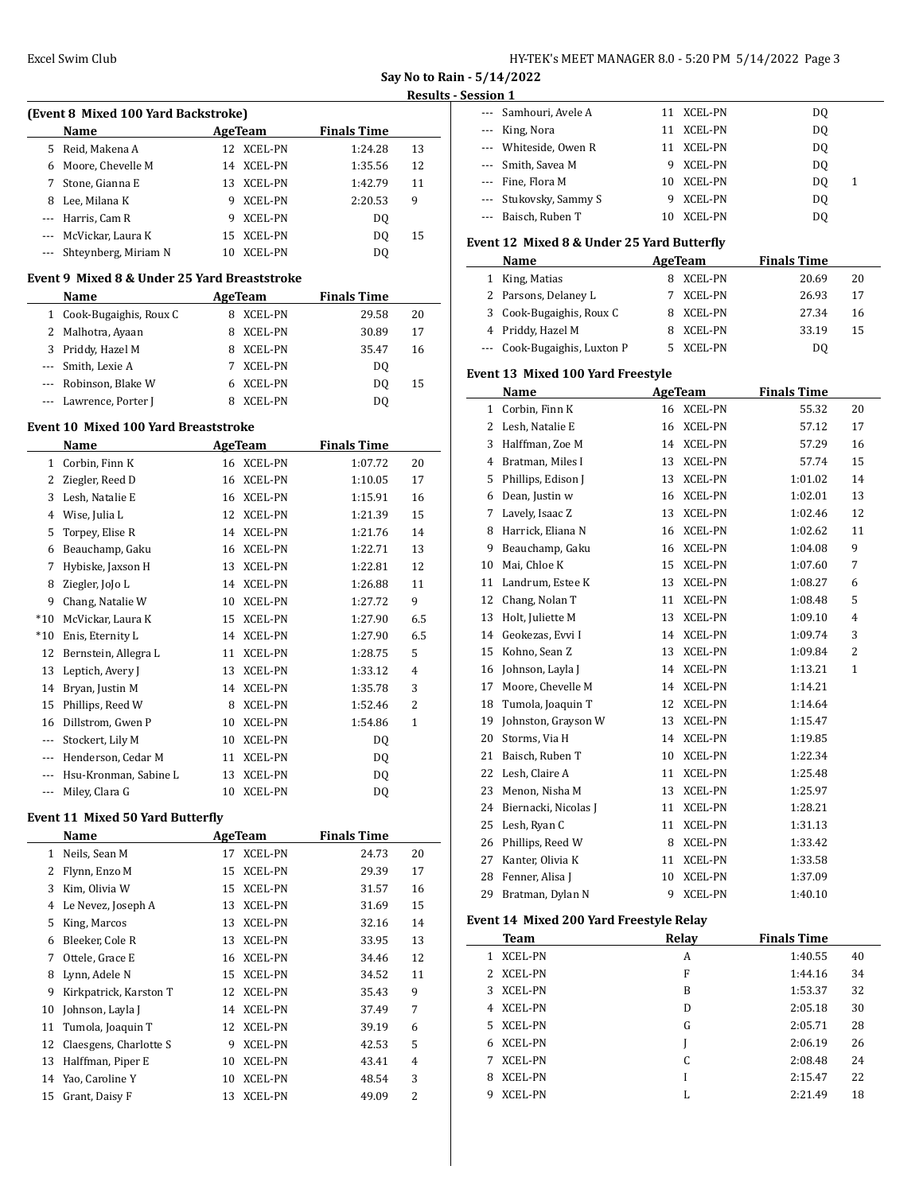$\overline{a}$ 

| HY-TEK's MEET MANAGER 8.0 - 5:20 PM 5/14/2022 Page 3 |  |  |  |
|------------------------------------------------------|--|--|--|
|------------------------------------------------------|--|--|--|

**Say No to Rain - 5/14/2022**

### **Results - Session 1**

 $\frac{1}{2}$ 

| (Event 8 Mixed 100 Yard Backstroke) |                      |    |                |                    |    |  |  |
|-------------------------------------|----------------------|----|----------------|--------------------|----|--|--|
|                                     | Name                 |    | AgeTeam        | <b>Finals Time</b> |    |  |  |
| 5.                                  | Reid, Makena A       |    | 12 XCEL-PN     | 1:24.28            | 13 |  |  |
| 6                                   | Moore, Chevelle M    |    | 14 XCEL-PN     | 1:35.56            | 12 |  |  |
|                                     | Stone, Gianna E      |    | 13 XCEL-PN     | 1:42.79            | 11 |  |  |
| 8                                   | Lee, Milana K        | 9  | <b>XCEL-PN</b> | 2:20.53            | 9  |  |  |
|                                     | --- Harris, Cam R    | 9  | XCEL-PN        | DO.                |    |  |  |
|                                     | McVickar, Laura K    |    | 15 XCEL-PN     | DO.                | 15 |  |  |
|                                     | Shteynberg, Miriam N | 10 | XCEL-PN        | DO                 |    |  |  |

#### **Event 9 Mixed 8 & Under 25 Yard Breaststroke**

|   | Name<br>AgeTeam          |                     | <b>Finals Time</b> |    |
|---|--------------------------|---------------------|--------------------|----|
|   | 1 Cook-Bugaighis, Roux C | XCEL-PN<br>8        | 29.58              | 20 |
|   | 2 Malhotra, Ayaan        | XCEL-PN<br>8        | 30.89              | 17 |
| 3 | Priddy, Hazel M          | <b>XCEL-PN</b><br>8 | 35.47              | 16 |
|   | --- Smith, Lexie A       | <b>XCEL-PN</b>      | DO.                |    |
|   | --- Robinson, Blake W    | XCEL-PN             | DO.                | 15 |
|   | --- Lawrence, Porter J   | XCEL-PN             | DO.                |    |

### **Event 10 Mixed 100 Yard Breaststroke**

|         | Name                  |    | <b>AgeTeam</b> | <b>Finals Time</b> |                |
|---------|-----------------------|----|----------------|--------------------|----------------|
| 1       | Corbin, Finn K        | 16 | <b>XCEL-PN</b> | 1:07.72            | 20             |
| 2       | Ziegler, Reed D       | 16 | <b>XCEL-PN</b> | 1:10.05            | 17             |
| 3       | Lesh, Natalie E       | 16 | <b>XCEL-PN</b> | 1:15.91            | 16             |
| 4       | Wise, Julia L         | 12 | <b>XCEL-PN</b> | 1:21.39            | 15             |
| 5       | Torpey, Elise R       | 14 | <b>XCEL-PN</b> | 1:21.76            | 14             |
| 6       | Beauchamp, Gaku       | 16 | <b>XCEL-PN</b> | 1:22.71            | 13             |
| 7       | Hybiske, Jaxson H     | 13 | <b>XCEL-PN</b> | 1:22.81            | 12             |
| 8       | Ziegler, JoJo L       | 14 | <b>XCEL-PN</b> | 1:26.88            | 11             |
| 9       | Chang, Natalie W      | 10 | <b>XCEL-PN</b> | 1:27.72            | 9              |
| $*10$   | McVickar, Laura K     | 15 | <b>XCEL-PN</b> | 1:27.90            | 6.5            |
| $*10$   | Enis, Eternity L      | 14 | <b>XCEL-PN</b> | 1:27.90            | 6.5            |
| 12      | Bernstein, Allegra L  | 11 | <b>XCEL-PN</b> | 1:28.75            | 5              |
| 13      | Leptich, Avery J      | 13 | <b>XCEL-PN</b> | 1:33.12            | 4              |
| 14      | Bryan, Justin M       | 14 | <b>XCEL-PN</b> | 1:35.78            | 3              |
| 15      | Phillips, Reed W      | 8  | XCEL-PN        | 1:52.46            | $\overline{2}$ |
| 16      | Dillstrom, Gwen P     | 10 | <b>XCEL-PN</b> | 1:54.86            | 1              |
| $---$   | Stockert, Lily M      | 10 | XCEL-PN        | DQ                 |                |
| $---$   | Henderson, Cedar M    | 11 | XCEL-PN        | DQ                 |                |
| $---$   | Hsu-Kronman, Sabine L | 13 | <b>XCEL-PN</b> | DQ                 |                |
| $- - -$ | Miley, Clara G        | 10 | <b>XCEL-PN</b> | DQ                 |                |

#### **Event 11 Mixed 50 Yard Butterfly**

|    | Name                   |    | AgeTeam        | <b>Finals Time</b> |                |
|----|------------------------|----|----------------|--------------------|----------------|
| 1  | Neils, Sean M          | 17 | <b>XCEL-PN</b> | 24.73              | 20             |
| 2  | Flynn, Enzo M          | 15 | <b>XCEL-PN</b> | 29.39              | 17             |
| 3  | Kim, Olivia W          | 15 | <b>XCEL-PN</b> | 31.57              | 16             |
| 4  | Le Nevez, Joseph A     | 13 | <b>XCEL-PN</b> | 31.69              | 15             |
| 5  | King, Marcos           | 13 | <b>XCEL-PN</b> | 32.16              | 14             |
| 6  | Bleeker, Cole R        | 13 | <b>XCEL-PN</b> | 33.95              | 13             |
| 7  | Ottele, Grace E        | 16 | <b>XCEL-PN</b> | 34.46              | 12             |
| 8  | Lynn, Adele N          | 15 | <b>XCEL-PN</b> | 34.52              | 11             |
| 9  | Kirkpatrick, Karston T | 12 | <b>XCEL-PN</b> | 35.43              | 9              |
| 10 | Johnson, Layla J       | 14 | <b>XCEL-PN</b> | 37.49              | 7              |
| 11 | Tumola, Joaquin T      | 12 | <b>XCEL-PN</b> | 39.19              | 6              |
| 12 | Claesgens, Charlotte S | 9  | <b>XCEL-PN</b> | 42.53              | 5              |
| 13 | Halffman, Piper E      | 10 | <b>XCEL-PN</b> | 43.41              | 4              |
| 14 | Yao, Caroline Y        | 10 | <b>XCEL-PN</b> | 48.54              | 3              |
| 15 | Grant, Daisy F         | 13 | <b>XCEL-PN</b> | 49.09              | $\overline{2}$ |

| --- Samhouri, Avele A  |   | 11 XCEL-PN     | DO.     |  |
|------------------------|---|----------------|---------|--|
| --- King, Nora         |   | 11 XCEL-PN     | DO      |  |
| --- Whiteside, Owen R  |   | 11 XCEL-PN     | DO.     |  |
| --- Smith, Savea M     | 9 | XCEL-PN        | DO.     |  |
| --- Fine, Flora M      |   | 10 XCEL-PN     | DO<br>1 |  |
| --- Stukovsky, Sammy S | 9 | <b>XCEL-PN</b> | DO      |  |
| --- Baisch, Ruben T    |   | <b>XCEL-PN</b> | DO.     |  |

## **Event 12 Mixed 8 & Under 25 Yard Butterfly**

|   | <b>Name</b>                  | AgeTeam   | <b>Finals Time</b> |    |
|---|------------------------------|-----------|--------------------|----|
| 1 | King, Matias                 | 8 XCEL-PN | 20.69              | 20 |
|   | 2 Parsons, Delaney L         | 7 XCEL-PN | 26.93              | 17 |
|   | 3 Cook-Bugaighis, Roux C     | 8 XCEL-PN | 27.34              | 16 |
|   | 4 Priddy, Hazel M            | 8 XCEL-PN | 33.19              | 15 |
|   | --- Cook-Bugaighis, Luxton P | XCEL-PN   | DΟ                 |    |

### **Event 13 Mixed 100 Yard Freestyle**

|    | Name                 | <b>AgeTeam</b> |                | <b>Finals Time</b> |                |
|----|----------------------|----------------|----------------|--------------------|----------------|
| 1  | Corbin, Finn K       | 16             | <b>XCEL-PN</b> | 55.32              | 20             |
| 2  | Lesh, Natalie E      | 16             | <b>XCEL-PN</b> | 57.12              | 17             |
| 3  | Halffman, Zoe M      | 14             | <b>XCEL-PN</b> | 57.29              | 16             |
| 4  | Bratman, Miles I     | 13             | <b>XCEL-PN</b> | 57.74              | 15             |
| 5  | Phillips, Edison J   | 13             | <b>XCEL-PN</b> | 1:01.02            | 14             |
| 6  | Dean, Justin w       | 16             | XCEL-PN        | 1:02.01            | 13             |
| 7  | Lavely, Isaac Z      | 13             | <b>XCEL-PN</b> | 1:02.46            | 12             |
| 8  | Harrick, Eliana N    | 16             | <b>XCEL-PN</b> | 1:02.62            | 11             |
| 9  | Beauchamp, Gaku      | 16             | XCEL-PN        | 1:04.08            | 9              |
| 10 | Mai, Chloe K         | 15             | <b>XCEL-PN</b> | 1:07.60            | 7              |
| 11 | Landrum, Estee K     | 13             | <b>XCEL-PN</b> | 1:08.27            | 6              |
| 12 | Chang, Nolan T       | 11             | XCEL-PN        | 1:08.48            | 5              |
| 13 | Holt, Juliette M     | 13             | XCEL-PN        | 1:09.10            | $\overline{4}$ |
| 14 | Geokezas, Evvi I     | 14             | <b>XCEL-PN</b> | 1:09.74            | 3              |
| 15 | Kohno, Sean Z        | 13             | <b>XCEL-PN</b> | 1:09.84            | $\overline{2}$ |
| 16 | Johnson, Layla J     | 14             | <b>XCEL-PN</b> | 1:13.21            | $\mathbf{1}$   |
| 17 | Moore, Chevelle M    | 14             | <b>XCEL-PN</b> | 1:14.21            |                |
| 18 | Tumola, Joaquin T    | 12             | <b>XCEL-PN</b> | 1:14.64            |                |
| 19 | Johnston, Grayson W  | 13             | <b>XCEL-PN</b> | 1:15.47            |                |
| 20 | Storms, Via H        | 14             | <b>XCEL-PN</b> | 1:19.85            |                |
| 21 | Baisch, Ruben T      | 10             | XCEL-PN        | 1:22.34            |                |
| 22 | Lesh, Claire A       | 11             | <b>XCEL-PN</b> | 1:25.48            |                |
| 23 | Menon, Nisha M       | 13             | <b>XCEL-PN</b> | 1:25.97            |                |
| 24 | Biernacki, Nicolas J | 11             | <b>XCEL-PN</b> | 1:28.21            |                |
| 25 | Lesh, Ryan C         | 11             | XCEL-PN        | 1:31.13            |                |
| 26 | Phillips, Reed W     | 8              | <b>XCEL-PN</b> | 1:33.42            |                |
| 27 | Kanter, Olivia K     | 11             | <b>XCEL-PN</b> | 1:33.58            |                |
| 28 | Fenner, Alisa J      | 10             | <b>XCEL-PN</b> | 1:37.09            |                |
| 29 | Bratman, Dylan N     | 9              | <b>XCEL-PN</b> | 1:40.10            |                |

## **Event 14 Mixed 200 Yard Freestyle Relay**

| <b>Team</b>          | Relay | <b>Finals Time</b> |    |
|----------------------|-------|--------------------|----|
| XCEL-PN<br>1         | A     | 1:40.55            | 40 |
| <b>XCEL-PN</b><br>2. | F     | 1:44.16            | 34 |
| <b>XCEL-PN</b><br>3. | B     | 1:53.37            | 32 |
| 4 XCEL-PN            | D     | 2:05.18            | 30 |
| <b>XCEL-PN</b><br>5. | G     | 2:05.71            | 28 |
| <b>XCEL-PN</b><br>6. |       | 2:06.19            | 26 |
| <b>XCEL-PN</b><br>7  | C     | 2:08.48            | 24 |
| XCEL-PN<br>8         |       | 2:15.47            | 22 |
| XCEL-PN<br>q         | L     | 2:21.49            | 18 |